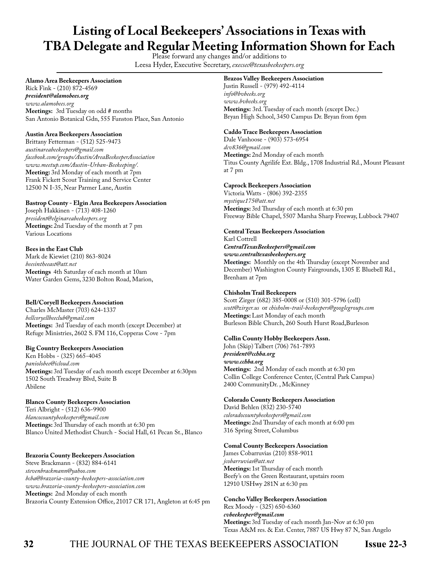# **Listing of Local Beekeepers' Associations in Texas with TBA Delegate and Regular Meeting Information Shown for Each** Please forward any changes and/or additions to

Leesa Hyder, Executive Secretary, *execsec@texasbeekeepers.org*

# **Alamo Area Beekeepers Association**

Rick Fink - (210) 872-4569 *president@alamobees.org www.alamobees.org* **Meetings:** 3rd Tuesday on odd # months San Antonio Botanical Gdn, 555 Funston Place, San Antonio

# **Austin Area Beekeepers Association**

Brittany Fetterman - (512) 525-9473 *austinareabeekeepers@gmail.com facebook.com/groups/Austin/AreaBeekeeperAssociation www.meetup.com/Austin-Urban-Beekeeping/.* **Meeting:** 3rd Monday of each month at 7pm Frank Fickett Scout Training and Service Center 12500 N I-35, Near Parmer Lane, Austin

# **Bastrop County - Elgin Area Beekeepers Association**

Joseph Hakkinen - (713) 408-1260 *president@elginareabeekeepers.org* **Meetings:** 2nd Tuesday of the month at 7 pm Various Locations

# **Bees in the East Club**

Mark de Kiewiet (210) 863-8024 *beesintheeast@att.net* **Meetings** 4th Saturday of each month at 10am Water Garden Gems, 3230 Bolton Road, Marion,

# **Bell/Coryell Beekeepers Association**

Charles McMaster (703) 624-1337 *bellcoryellbeeclub@gmail.com* **Meetings:** 3rd Tuesday of each month (except December) at Refuge Ministries, 2602 S. FM 116, Copperas Cove - 7pm

# **Big Country Beekeepers Association**

Ken Hobbs - (325) 665-4045 *paniolobee@icloud.com* **Meetings:** 3rd Tuesday of each month except December at 6:30pm 1502 South Treadway Blvd, Suite B Abilene

# **Blanco County Beekeepers Association**

Teri Albright - (512) 636-9900 *blancocountybeekeepers@gmail.com* **Meetings:** 3rd Thursday of each month at 6:30 pm Blanco United Methodist Church - Social Hall, 61 Pecan St., Blanco

# **Brazoria County Beekeepers Association**

Steve Brackmann - (832) 884-6141 *stevenbrackmann@yahoo.com bcba@brazoria-county-beekeepers-association.com www.brazoria-county-beekeepers-association.com* **Meetings:** 2nd Monday of each month Brazoria County Extension Office, 21017 CR 171, Angleton at 6:45 pm

# **Brazos Valley Beekeepers Association**

Justin Russell - (979) 492-4114 *info@bvbeeks.org www.bvbeeks.org* **Meetings:** 3rd. Tuesday of each month (except Dec.) Bryan High School, 3450 Campus Dr. Bryan from 6pm

# **Caddo Trace Beekeepers Association**

Dale Vanhoose - (903) 573-6954 *dcv836@gmail.com* **Meetings:** 2nd Monday of each month Titus County Agrilife Ext. Bldg., 1708 Industrial Rd., Mount Pleasant at 7 pm

# **Caprock Beekeepers Association**

Victoria Watts - (806) 392-2355 *mystique175@att.net* **Meetings:** 3rd Thursday of each month at 6:30 pm Freeway Bible Chapel, 5507 Marsha Sharp Freeway, Lubbock 79407

# **Central Texas Beekeepers Association**

Karl Cottrell *CentralTexasBeekeepers@gmail.com www.centraltexasbeekeepers.org*  **Meetings:** Monthly on the 4th Thursday (except November and December) Washington County Fairgrounds, 1305 E Bluebell Rd., Brenham at 7pm

# **Chisholm Trail Beekeepers**

Scott Zirger (682) 385-0008 or (510) 301-5796 (cell) *scott@zirger.us* or *chisholm-trail-beekeepers@googlegroups.com* **Meetings:** Last Monday of each month Burleson Bible Church, 260 South Hurst Road,Burleson

# **Collin County Hobby Beekeepers Assn.**

John (Skip) Talbert (706) 761-7893 *president@cchba.org www.cchba.org* **Meetings:** 2nd Monday of each month at 6:30 pm Collin College Conference Center, (Central Park Campus) 2400 CommunityDr. , McKinney

# **Colorado County Beekeepers Association**

David Behlen (832) 230-5740 *coloradocountybeekeepers@gmail.com* **Meetings:** 2nd Thursday of each month at 6:00 pm 316 Spring Street, Columbus

# **Comal County Beekeepers Association**

James Cobarruvias (210) 858-9011 *jcobarruvias@att.net* **Meetings:** 1st Thursday of each month Beefy's on the Green Restaurant, upstairs room 12910 USHwy 281N at 6:30 pm

# **Concho Valley Beekeepers Association**

Rex Moody - (325) 650-6360 *cvbeekeeper@gmail.com* **Meetings:** 3rd Tuesday of each month Jan-Nov at 6:30 pm Texas A&M res. & Ext. Center, 7887 US Hwy 87 N, San Angelo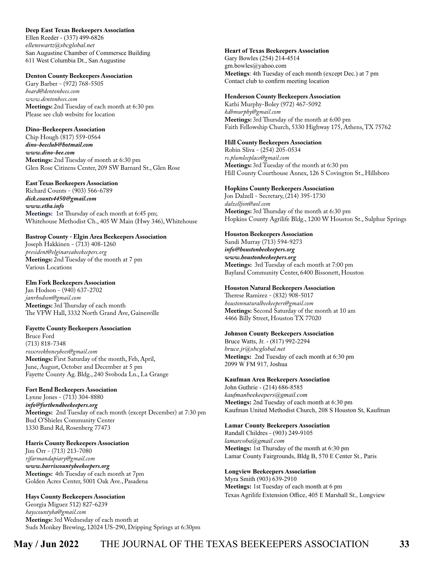# **Deep East Texas Beekeepers Association**

Ellen Reeder - (337) 499-6826 *ellenswartz@sbcglobal.net* San Augustine Chamber of Commersce Building 611 West Columbia Dt., San Augustine

# **Denton County Beekeepers Association**

Gary Barber - (972) 768-5505 *board@dentonbees.com www.dentonbees.com* **Meetings:** 2nd Tuesday of each month at 6:30 pm Please see club website for location

# **Dino-Beekeepers Association**

Chip Hough (817) 559-0564 *dino-beeclub@hotmail.com www.dino-bee.com* **Meetings:** 2nd Tuesday of month at 6:30 pm Glen Rose Citizens Center, 209 SW Barnard St., Glen Rose

# **East Texas Beekeepers Association**

Richard Counts - (903) 566-6789 *dick.counts4450@gmail.com www.etba.info* **Meetings:** 1st Thursday of each month at 6:45 pm; Whitehouse Methodist Ch., 405 W Main (Hwy 346), Whitehouse

# **Bastrop County - Elgin Area Beekeepers Association**

Joseph Hakkinen - (713) 408-1260 *president@elginareabeekeepers.org* **Meetings:** 2nd Tuesday of the month at 7 pm Various Locations

# **Elm Fork Beekeepers Association**

Jan Hodson - (940) 637-2702 *janrhodson@gmail.com* **Meetings:** 3rd Thursday of each month The VFW Hall, 3332 North Grand Ave, Gainesville

# **Fayette County Beekeepers Association**

Bruce Ford (713) 818-7348 *rosscreekhoneybees@gmail.com* **Meetings:** First Saturday of the month, Feb, April, June, August, October and December at 5 pm Fayette County Ag. Bldg., 240 Svoboda Ln., La Grange

# **Fort Bend Beekeepers Association**

Lynne Jones - (713) 304-8880 *info@fortbendbeekeepers.org* **Meetings:** 2nd Tuesday of each month (except December) at 7:30 pm Bud O'Shieles Community Center 1330 Band Rd, Rosenberg 77473

# **Harris County Beekeepers Association**

Jim Orr - (713) 213-7080 *rjfarmandapiary@gmail.com www.harriscountybeekeepers.org* **Meetings:** 4th Tuesday of each month at 7pm Golden Acres Center, 5001 Oak Ave., Pasadena

# **Hays County Beekeepers Association**

Georgia Miguez 512) 827-6239 *hayscountyba@gmail.com* **Meetings:** 3rd Wednesday of each month at Suds Monkey Brewing, 12024 US-290, Dripping Springs at 6:30pm

# **Heart of Texas Beekeepers Association**

Gary Bowles (254) 214-4514 gm.bowles@yahoo.com **Meetings**: 4th Tuesday of each month (except Dec.) at 7 pm Contact club to confirm meeting location

# **Henderson County Beekeepers Association**

Kathi Murphy-Boley (972) 467-5092 *kdbmurphy@gmail.com* **Meetings:** 3rd Thursday of the month at 6:00 pm Faith Fellowship Church, 5330 Highway 175, Athens, TX 75762

# **Hill County Beekeepers Association**

Robin Sliva - (254) 205-0534 *rs.plumleeplace@gmail.com* **Meetings:** 3rd Tuesday of the month at 6:30 pm Hill County Courthouse Annex, 126 S Covington St., Hillsboro

# **Hopkins County Beekeepers Association**

Jon Dalzell - Secretary, (214) 395-1730 *dalzelljon@aol.com* **Meetings:** 3rd Thursday of the month at 6:30 pm Hopkins County Agrilife Bldg., 1200 W Houston St., Sulphur Springs

# **Houston Beekeepers Association**

Sandi Murray (713) 594-9273 *info@houstonbeekeepers.org www.houstonbeekeepers.org* **Meetings:** 3rd Tuesday of each month at 7:00 pm Bayland Community Center, 6400 Bissonett, Houston

# **Houston Natural Beekeepers Association**

Therese Ramirez - (832) 908-5017 *houstonnaturalbeekeepers@gmail.com* **Meetings:** Second Saturday of the month at 10 am 4466 Billy Street, Houston TX 77020

# **Johnson County Beekeepers Association**

Bruce Watts, Jr. - (817) 992-2294 *bruce.jr@sbcglobal.net* **Meetings:** 2nd Tuesday of each month at 6:30 pm 2099 W FM 917, Joshua

# **Kaufman Area Beekeepers Association**

John Guthrie - (214) 686-8585 *kaufmanbeekeepers@gmail.com* **Meetings:** 2nd Tuesday of each month at 6:30 pm Kaufman United Methodist Church, 208 S Houston St, Kaufman

# **Lamar County Beekeepers Association**

Randall Childres - (903) 249-9105 *lamarcoba@gmail.com* **Meetings:** 1st Thursday of the month at 6:30 pm Lamar County Fairgrounds, Bldg B, 570 E Center St., Paris

# **Longview Beekeepers Association**

Myra Smith (903) 639-2910 **Meetings:** 1st Tuesday of each month at 6 pm Texas Agrilife Extension Office, 405 E Marshall St., Longview